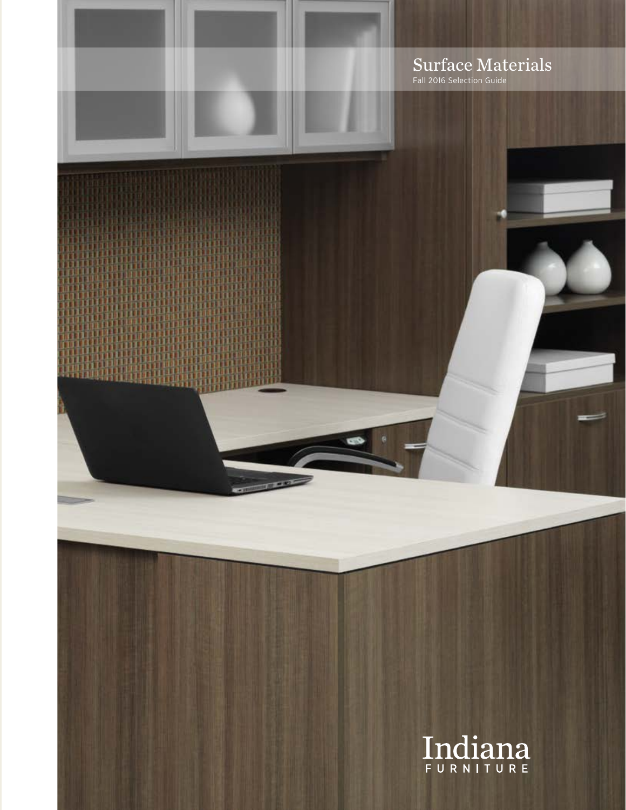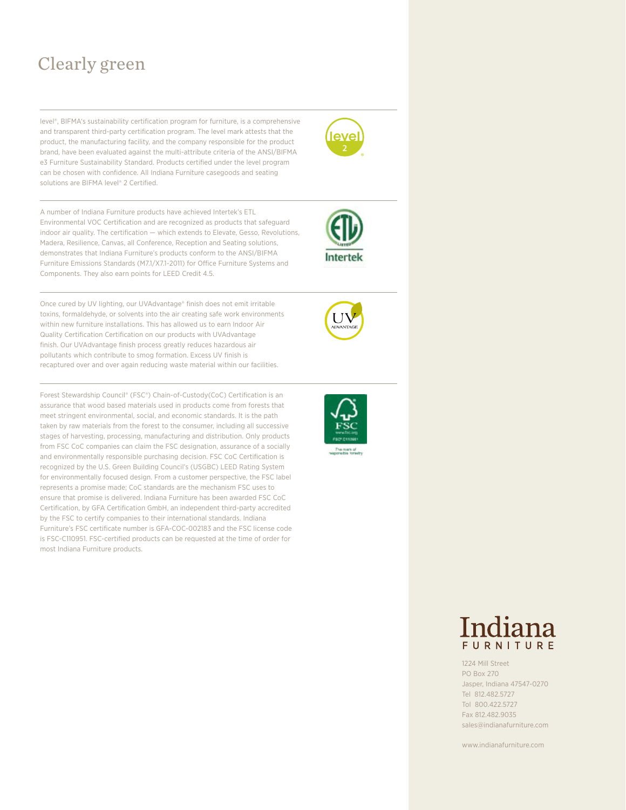## Clearly green

level®, BIFMA's sustainability certification program for furniture, is a comprehensive and transparent third-party certification program. The level mark attests that the product, the manufacturing facility, and the company responsible for the product brand, have been evaluated against the multi-attribute criteria of the ANSI/BIFMA e3 Furniture Sustainability Standard. Products certified under the level program can be chosen with confidence. All Indiana Furniture casegoods and seating solutions are BIFMA level<sup>®</sup> 2 Certified.

A number of Indiana Furniture products have achieved Intertek's ETL Environmental VOC Certification and are recognized as products that safeguard indoor air quality. The certification — which extends to Elevate, Gesso, Revolutions, Madera, Resilience, Canvas, all Conference, Reception and Seating solutions, demonstrates that Indiana Furniture's products conform to the ANSI/BIFMA Furniture Emissions Standards (M7.1/X7.1-2011) for Office Furniture Systems and Components. They also earn points for LEED Credit 4.5.

Once cured by UV lighting, our UVAdvantage® finish does not emit irritable toxins, formaldehyde, or solvents into the air creating safe work environments within new furniture installations. This has allowed us to earn Indoor Air Quality Certification Certification on our products with UVAdvantage finish. Our UVAdvantage finish process greatly reduces hazardous air pollutants which contribute to smog formation. Excess UV finish is recaptured over and over again reducing waste material within our facilities.

Forest Stewardship Council® (FSC®) Chain-of-Custody(CoC) Certification is an assurance that wood based materials used in products come from forests that meet stringent environmental, social, and economic standards. It is the path taken by raw materials from the forest to the consumer, including all successive stages of harvesting, processing, manufacturing and distribution. Only products from FSC CoC companies can claim the FSC designation, assurance of a socially and environmentally responsible purchasing decision. FSC CoC Certification is recognized by the U.S. Green Building Council's (USGBC) LEED Rating System for environmentally focused design. From a customer perspective, the FSC label represents a promise made; CoC standards are the mechanism FSC uses to ensure that promise is delivered. Indiana Furniture has been awarded FSC CoC Certification, by GFA Certification GmbH, an independent third-party accredited by the FSC to certify companies to their international standards. Indiana Furniture's FSC certificate number is GFA-COC-002183 and the FSC license code is FSC-C110951. FSC-certified products can be requested at the time of order for most Indiana Furniture products.





1224 Mill Street PO Box 270 Jasper, Indiana 47547-0270 Tel 812.482.5727 Tol 800.422.5727 Fax 812.482.9035 sales@indianafurniture.com

www.indianafurniture.com



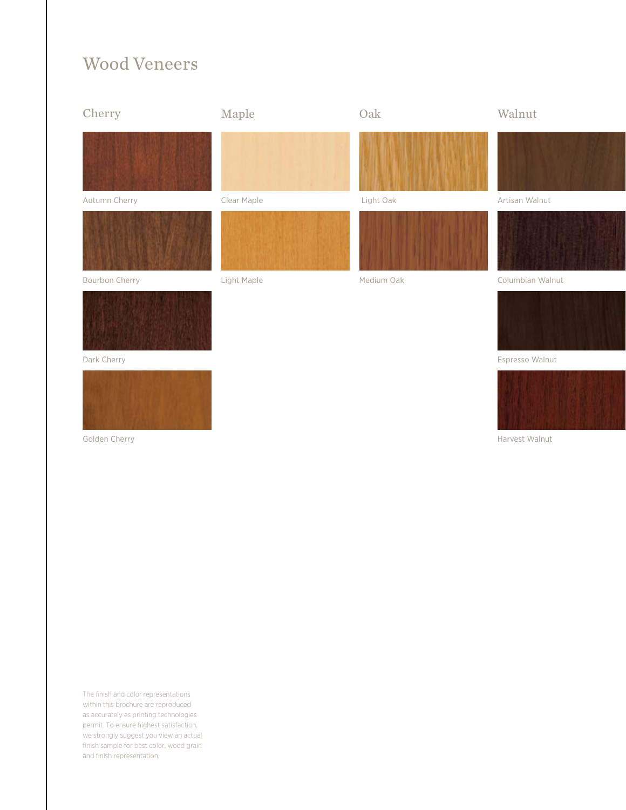### Wood Veneers



Harvest Walnut

The finish and color representations within this brochure are reproduced as accurately as printing technologies permit. To ensure highest satisfaction, we strongly suggest you view an actual finish sample for best color, wood grain and finish representation.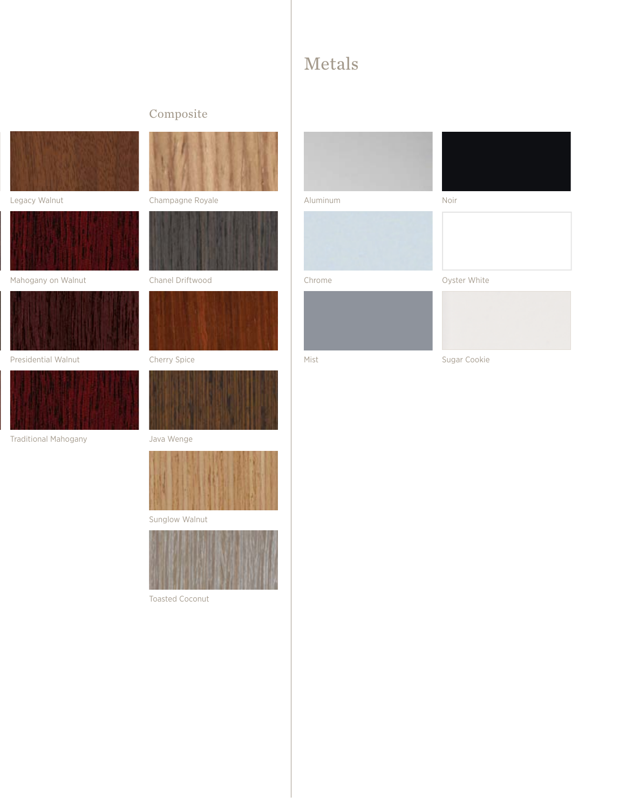### Metals

### Composite



Legacy Walnut



Mahogany on Walnut



Presidential Walnut



Traditional Mahogany



### Champagne Royale



Chanel Driftwood



#### Cherry Spice







Sunglow Walnut



Toasted Coconut



Aluminum



Chrome







Oyster White



Mist **Mist** Sugar Cookie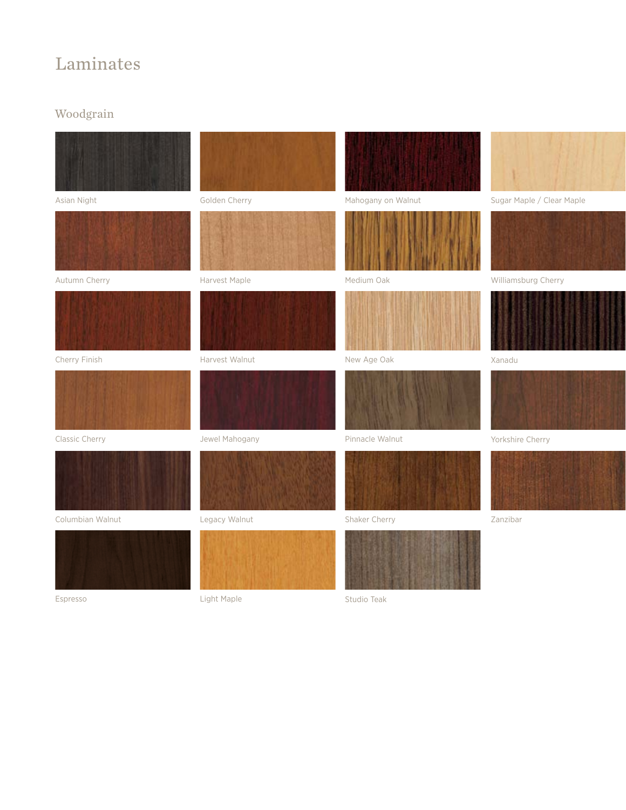### Laminates

### Woodgrain



Espresso

Light Maple

Studio Teak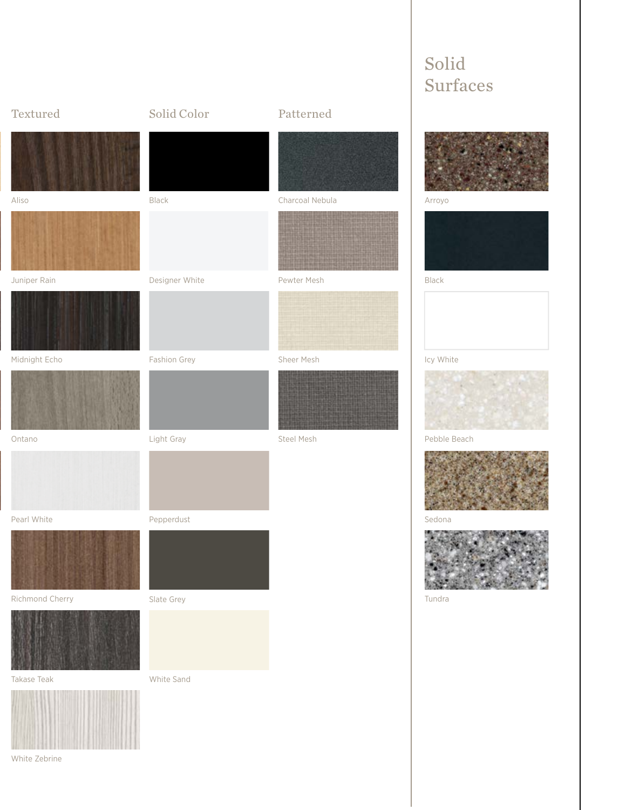

Solid

White Zebrine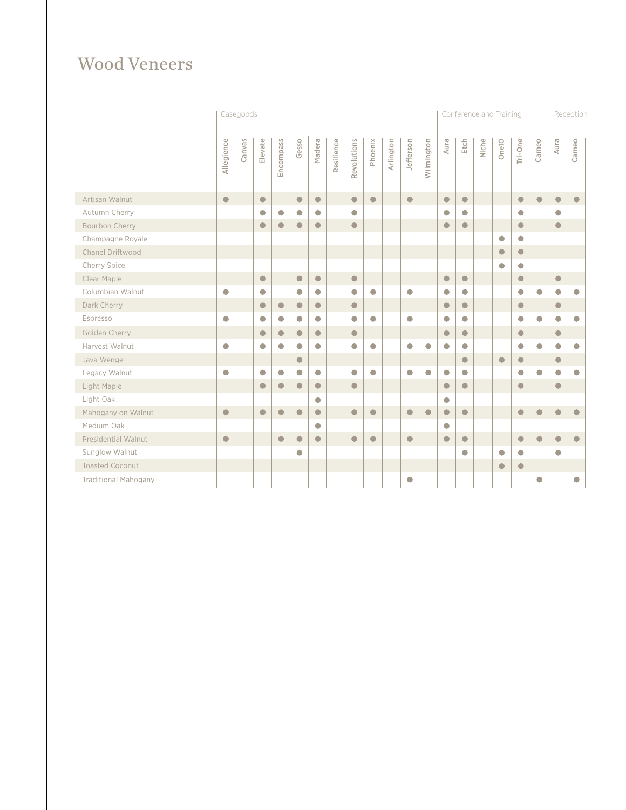# Wood Veneers

|                             | Casegoods  |        |            |            |            |            |            |             |            |           |            | Conference and Training |            |            |       |            |            | Reception  |            |            |
|-----------------------------|------------|--------|------------|------------|------------|------------|------------|-------------|------------|-----------|------------|-------------------------|------------|------------|-------|------------|------------|------------|------------|------------|
|                             | Allegience | Canvas | Elevate    | Encompass  | Gesso      | Madera     | Resilience | Revolutions | Phoenix    | Arlington | Jefferson  | Wilmington              | Aura       | Etch       | Niche | Onelo      | Tri-One    | Cameo      | Aura       | Cameo      |
| Artisan Walnut              | $\bullet$  |        | $\bullet$  |            | $\bullet$  | $\bullet$  |            | $\bullet$   | $\bullet$  |           | $\bullet$  |                         | $\bullet$  | $\bullet$  |       |            | $\bullet$  | $\bullet$  | $\bullet$  | $\bullet$  |
| Autumn Cherry               |            |        | $\bigcirc$ | $\bigcirc$ | $\bigcirc$ | $\bigcirc$ |            | $\bigcirc$  |            |           |            |                         | $\bigcirc$ | $\Box$     |       |            | $\bigcap$  |            | $\bigcirc$ |            |
| Bourbon Cherry              |            |        | $\bullet$  | $\bullet$  | $\bullet$  | $\bullet$  |            | $\bullet$   |            |           |            |                         | $\bullet$  | $\bullet$  |       |            | $\bullet$  |            | $\bullet$  |            |
| Champagne Royale            |            |        |            |            |            |            |            |             |            |           |            |                         |            |            |       | $\bigcirc$ | $\bigcap$  |            |            |            |
| Chanel Driftwood            |            |        |            |            |            |            |            |             |            |           |            |                         |            |            |       | $\bullet$  | $\bullet$  |            |            |            |
| Cherry Spice                |            |        |            |            |            |            |            |             |            |           |            |                         |            |            |       | $\bigcirc$ | $\bigcirc$ |            |            |            |
| Clear Maple                 |            |        | $\bullet$  |            | $\bullet$  | $\bullet$  |            | $\bullet$   |            |           |            |                         | $\bullet$  | $\bullet$  |       |            | $\bullet$  |            | $\bullet$  |            |
| Columbian Walnut            | $\bigcirc$ |        | $\bigcirc$ |            | $\bigcirc$ | $\bigcirc$ |            | $\bigcirc$  | $\bigcap$  |           | $\bigcirc$ |                         | $\bigcirc$ | $\bullet$  |       |            | $\bigcirc$ | $\bigcirc$ | $\bigcirc$ | $\bigcirc$ |
| Dark Cherry                 |            |        | $\bullet$  | $\bullet$  | $\bullet$  | $\bullet$  |            | $\bullet$   |            |           |            |                         | $\bullet$  | $\bullet$  |       |            | $\bullet$  |            | $\bullet$  |            |
| Espresso                    | $\bigcirc$ |        | $\bigcirc$ | $\bigcirc$ | $\bigcirc$ | $\bigcirc$ |            | $\bigcirc$  | $\bigcirc$ |           | $\bigcirc$ |                         | $\bigcirc$ | $\bigcirc$ |       |            | $\bigcirc$ | O          | $\bigcirc$ | $\bigcirc$ |
| Golden Cherry               |            |        | $\bullet$  | $\bullet$  | $\bullet$  | $\bullet$  |            | $\bullet$   |            |           |            |                         | $\bullet$  | $\bullet$  |       |            | $\bullet$  |            | $\bullet$  |            |
| Harvest Walnut              | $\bigcirc$ |        | $\bigcirc$ | $\bigcirc$ | $\bigcirc$ | $\bigcirc$ |            | $\bigcirc$  | $\bigcirc$ |           | $\bigcirc$ | $\bigcirc$              | $\bigcirc$ | $\bigcap$  |       |            | $\bigcirc$ | $\bigcirc$ | $\bigcirc$ | $\bigcirc$ |
| Java Wenge                  |            |        |            |            | $\bullet$  |            |            |             |            |           |            |                         |            | $\bullet$  |       | $\bullet$  | $\bullet$  |            | $\bullet$  |            |
| Legacy Walnut               | $\bigcirc$ |        | $\bigcirc$ | $\bigcirc$ | $\bigcirc$ | $\bigcirc$ |            | $\bigcirc$  | $\bigcirc$ |           | $\bigcirc$ | $\bigcirc$              | $\bigcirc$ | $\bullet$  |       |            | $\bigcirc$ | $\bigcirc$ | $\bigcirc$ | $\bigcirc$ |
| Light Maple                 |            |        | $\bullet$  | $\bullet$  | $\bullet$  | $\bullet$  |            | $\bullet$   |            |           |            |                         | $\bullet$  | $\bullet$  |       |            | $\bullet$  |            | $\bullet$  |            |
| Light Oak                   |            |        |            |            |            | O          |            |             |            |           |            |                         | $\bigcirc$ |            |       |            |            |            |            |            |
| Mahogany on Walnut          | $\bullet$  |        | $\bullet$  | $\bullet$  | $\bullet$  | $\bullet$  |            | $\bullet$   | $\bullet$  |           | $\bullet$  | $\bullet$               | $\bullet$  | $\bullet$  |       |            | $\bullet$  | $\bullet$  | $\bullet$  | $\bullet$  |
| Medium Oak                  |            |        |            |            |            | $\bigcirc$ |            |             |            |           |            |                         | $\bigcirc$ |            |       |            |            |            |            |            |
| <b>Presidential Walnut</b>  | $\bullet$  |        |            | $\bullet$  | $\bullet$  | $\bullet$  |            | $\bullet$   | $\bullet$  |           | $\bullet$  |                         | $\bullet$  | $\bullet$  |       |            | $\bullet$  | $\bullet$  | $\bullet$  | $\bullet$  |
| Sunglow Walnut              |            |        |            |            | $\bigcirc$ |            |            |             |            |           |            |                         |            | $\bullet$  |       | $\bigcirc$ | $\bigcirc$ |            | $\bigcirc$ |            |
| <b>Toasted Coconut</b>      |            |        |            |            |            |            |            |             |            |           |            |                         |            |            |       | $\bullet$  | $\bullet$  |            |            |            |
| <b>Traditional Mahogany</b> |            |        |            |            |            |            |            |             |            |           | О          |                         |            |            |       |            |            | $\bigcirc$ |            | $\bigcirc$ |